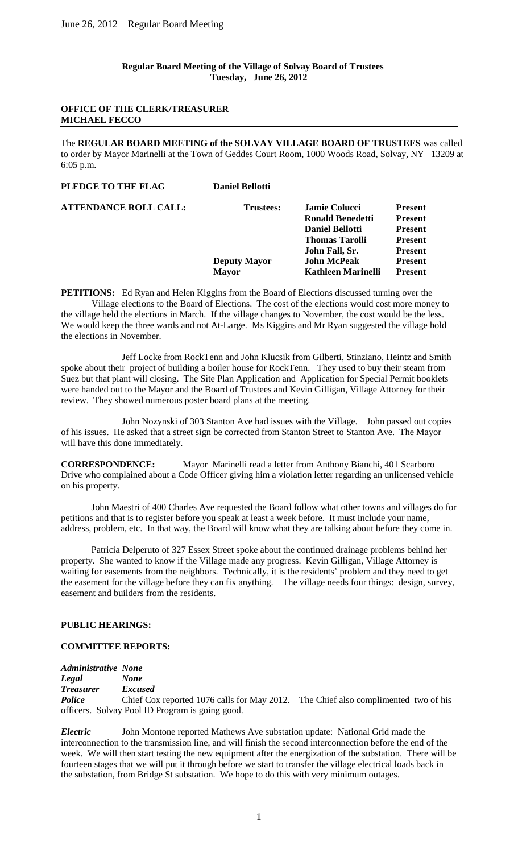**Regular Board Meeting of the Village of Solvay Board of Trustees Tuesday, June 26, 2012**

# **OFFICE OF THE CLERK/TREASURER MICHAEL FECCO**

The **REGULAR BOARD MEETING of the SOLVAY VILLAGE BOARD OF TRUSTEES** was called to order by Mayor Marinelli at the Town of Geddes Court Room, 1000 Woods Road, Solvay, NY 13209 at 6:05 p.m.

| PLEDGE TO THE FLAG           | <b>Daniel Bellotti</b> |                           |                |
|------------------------------|------------------------|---------------------------|----------------|
| <b>ATTENDANCE ROLL CALL:</b> | Trustees:              | <b>Jamie Colucci</b>      | <b>Present</b> |
|                              |                        | <b>Ronald Benedetti</b>   | <b>Present</b> |
|                              |                        | <b>Daniel Bellotti</b>    | <b>Present</b> |
|                              |                        | <b>Thomas Tarolli</b>     | <b>Present</b> |
|                              |                        | John Fall, Sr.            | <b>Present</b> |
|                              | <b>Deputy Mayor</b>    | <b>John McPeak</b>        | <b>Present</b> |
|                              | <b>Mayor</b>           | <b>Kathleen Marinelli</b> | <b>Present</b> |
|                              |                        |                           |                |

**PETITIONS:** Ed Ryan and Helen Kiggins from the Board of Elections discussed turning over the Village elections to the Board of Elections. The cost of the elections would cost more money to the village held the elections in March. If the village changes to November, the cost would be the less. We would keep the three wards and not At-Large. Ms Kiggins and Mr Ryan suggested the village hold the elections in November.

Jeff Locke from RockTenn and John Klucsik from Gilberti, Stinziano, Heintz and Smith spoke about their project of building a boiler house for RockTenn. They used to buy their steam from Suez but that plant will closing. The Site Plan Application and Application for Special Permit booklets were handed out to the Mayor and the Board of Trustees and Kevin Gilligan, Village Attorney for their review. They showed numerous poster board plans at the meeting.

John Nozynski of 303 Stanton Ave had issues with the Village. John passed out copies of his issues. He asked that a street sign be corrected from Stanton Street to Stanton Ave. The Mayor will have this done immediately.

**CORRESPONDENCE:** Mayor Marinelli read a letter from Anthony Bianchi, 401 Scarboro Drive who complained about a Code Officer giving him a violation letter regarding an unlicensed vehicle on his property.

John Maestri of 400 Charles Ave requested the Board follow what other towns and villages do for petitions and that is to register before you speak at least a week before. It must include your name, address, problem, etc. In that way, the Board will know what they are talking about before they come in.

Patricia Delperuto of 327 Essex Street spoke about the continued drainage problems behind her property. She wanted to know if the Village made any progress. Kevin Gilligan, Village Attorney is waiting for easements from the neighbors. Technically, it is the residents' problem and they need to get the easement for the village before they can fix anything. The village needs four things: design, survey, easement and builders from the residents.

# **PUBLIC HEARINGS:**

#### **COMMITTEE REPORTS:**

*Administrative None Legal None Treasurer Excused Police* Chief Cox reported 1076 calls for May 2012. The Chief also complimented two of his officers. Solvay Pool ID Program is going good.

*Electric* John Montone reported Mathews Ave substation update: National Grid made the interconnection to the transmission line, and will finish the second interconnection before the end of the week. We will then start testing the new equipment after the energization of the substation. There will be fourteen stages that we will put it through before we start to transfer the village electrical loads back in the substation, from Bridge St substation. We hope to do this with very minimum outages.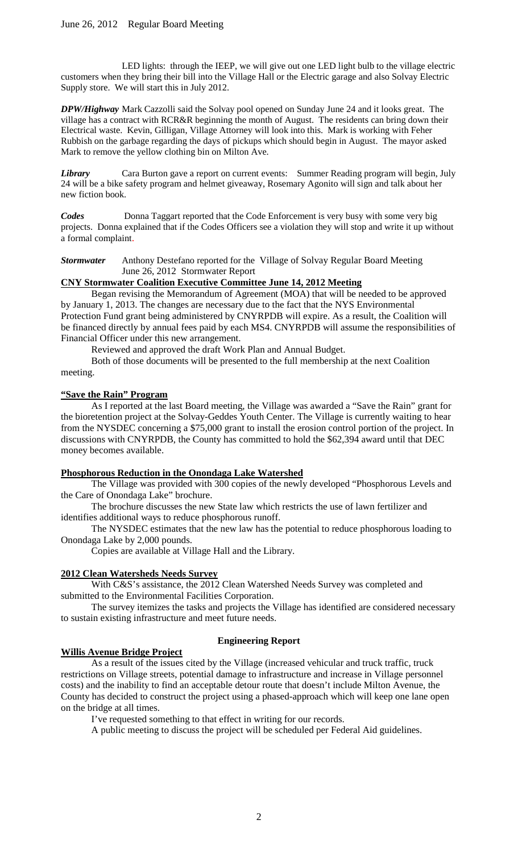LED lights: through the IEEP, we will give out one LED light bulb to the village electric customers when they bring their bill into the Village Hall or the Electric garage and also Solvay Electric Supply store. We will start this in July 2012.

*DPW/Highway* Mark Cazzolli said the Solvay pool opened on Sunday June 24 and it looks great. The village has a contract with RCR&R beginning the month of August. The residents can bring down their Electrical waste. Kevin, Gilligan, Village Attorney will look into this. Mark is working with Feher Rubbish on the garbage regarding the days of pickups which should begin in August. The mayor asked Mark to remove the yellow clothing bin on Milton Ave.

*Library* Cara Burton gave a report on current events: Summer Reading program will begin, July 24 will be a bike safety program and helmet giveaway, Rosemary Agonito will sign and talk about her new fiction book.

**Codes** Donna Taggart reported that the Code Enforcement is very busy with some very big projects. Donna explained that if the Codes Officers see a violation they will stop and write it up without a formal complaint.

*Stormwater* Anthony Destefano reported for the Village of Solvay Regular Board Meeting June 26, 2012 Stormwater Report

# **CNY Stormwater Coalition Executive Committee June 14, 2012 Meeting**

Began revising the Memorandum of Agreement (MOA) that will be needed to be approved by January 1, 2013. The changes are necessary due to the fact that the NYS Environmental Protection Fund grant being administered by CNYRPDB will expire. As a result, the Coalition will be financed directly by annual fees paid by each MS4. CNYRPDB will assume the responsibilities of Financial Officer under this new arrangement.

Reviewed and approved the draft Work Plan and Annual Budget.

Both of those documents will be presented to the full membership at the next Coalition meeting.

# **"Save the Rain" Program**

As I reported at the last Board meeting, the Village was awarded a "Save the Rain" grant for the bioretention project at the Solvay-Geddes Youth Center. The Village is currently waiting to hear from the NYSDEC concerning a \$75,000 grant to install the erosion control portion of the project. In discussions with CNYRPDB, the County has committed to hold the \$62,394 award until that DEC money becomes available.

# **Phosphorous Reduction in the Onondaga Lake Watershed**

The Village was provided with 300 copies of the newly developed "Phosphorous Levels and the Care of Onondaga Lake" brochure.

The brochure discusses the new State law which restricts the use of lawn fertilizer and identifies additional ways to reduce phosphorous runoff.

The NYSDEC estimates that the new law has the potential to reduce phosphorous loading to Onondaga Lake by 2,000 pounds.

Copies are available at Village Hall and the Library.

# **2012 Clean Watersheds Needs Survey**

With C&S's assistance, the 2012 Clean Watershed Needs Survey was completed and submitted to the Environmental Facilities Corporation.

The survey itemizes the tasks and projects the Village has identified are considered necessary to sustain existing infrastructure and meet future needs.

# **Willis Avenue Bridge Project**

# **Engineering Report**

As a result of the issues cited by the Village (increased vehicular and truck traffic, truck restrictions on Village streets, potential damage to infrastructure and increase in Village personnel costs) and the inability to find an acceptable detour route that doesn't include Milton Avenue, the County has decided to construct the project using a phased-approach which will keep one lane open on the bridge at all times.

I've requested something to that effect in writing for our records.

A public meeting to discuss the project will be scheduled per Federal Aid guidelines.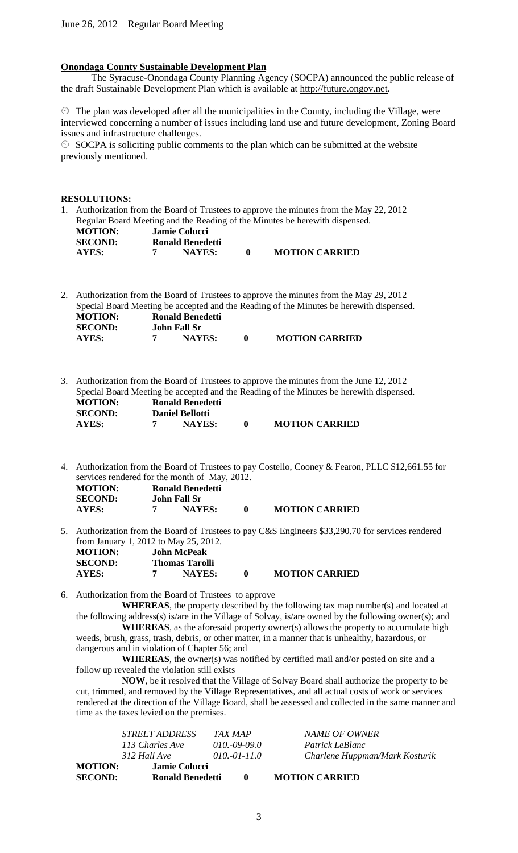#### **Onondaga County Sustainable Development Plan**

The Syracuse-Onondaga County Planning Agency (SOCPA) announced the public release of the draft Sustainable Development Plan which is available at http://future.ongov.net.

 $\circled{1}$  The plan was developed after all the municipalities in the County, including the Village, were interviewed concerning a number of issues including land use and future development, Zoning Board issues and infrastructure challenges.

 $\circled{S}$  SOCPA is soliciting public comments to the plan which can be submitted at the website previously mentioned.

#### **RESOLUTIONS:**

1. Authorization from the Board of Trustees to approve the minutes from the May 22, 2012 Regular Board Meeting and the Reading of the Minutes be herewith dispensed.<br>MOTION: Jamie Colucci *Motion* **Jamie Colucci SECOND: Ronald Benedetti AYES: 7 NAYES: 0 MOTION CARRIED**

2. Authorization from the Board of Trustees to approve the minutes from the May 29, 2012 Special Board Meeting be accepted and the Reading of the Minutes be herewith dispensed. **MOTION: Ronald Benedetti**<br>**SECOND: John Fall Sr John Fall Sr AYES: 7 NAYES: 0 MOTION CARRIED**

3. Authorization from the Board of Trustees to approve the minutes from the June 12, 2012 Special Board Meeting be accepted and the Reading of the Minutes be herewith dispensed.

| <b>MOTION:</b> | Ronald Benedetti       |                       |
|----------------|------------------------|-----------------------|
| <b>SECOND:</b> | <b>Daniel Bellotti</b> |                       |
| <b>AYES:</b>   | <b>NAYES:</b>          | <b>MOTION CARRIED</b> |

- 4. Authorization from the Board of Trustees to pay Costello, Cooney & Fearon, PLLC \$12,661.55 for services rendered for the month of May, 2012. **MOTION: Ronald Benedetti**<br>**SECOND: John Fall Sr SEPTEM: SECONDER SECTION**<br> **SECONDER SECONDER SECTION POINTS: AYES: 7 NAYES: 0 MOTION CARRIED**
- 5. Authorization from the Board of Trustees to pay C&S Engineers \$33,290.70 for services rendered from January 1, 2012 to May 25, 2012.

| <b>MOTION:</b> | <b>John McPeak</b> |                |                       |
|----------------|--------------------|----------------|-----------------------|
| <b>SECOND:</b> |                    | Thomas Tarolli |                       |
| AYES:          |                    | <b>NAYES:</b>  | <b>MOTION CARRIED</b> |

6. Authorization from the Board of Trustees to approve

**WHEREAS**, the property described by the following tax map number(s) and located at the following address(s) is/are in the Village of Solvay, is/are owned by the following owner(s); and

**WHEREAS**, as the aforesaid property owner(s) allows the property to accumulate high weeds, brush, grass, trash, debris, or other matter, in a manner that is unhealthy, hazardous, or dangerous and in violation of Chapter 56; and

**WHEREAS**, the owner(s) was notified by certified mail and/or posted on site and a follow up revealed the violation still exists

**NOW**, be it resolved that the Village of Solvay Board shall authorize the property to be cut, trimmed, and removed by the Village Representatives, and all actual costs of work or services rendered at the direction of the Village Board, shall be assessed and collected in the same manner and time as the taxes levied on the premises.

| Charlene Huppman/Mark Kosturik |
|--------------------------------|
|                                |
| NAME OF OWNER                  |
|                                |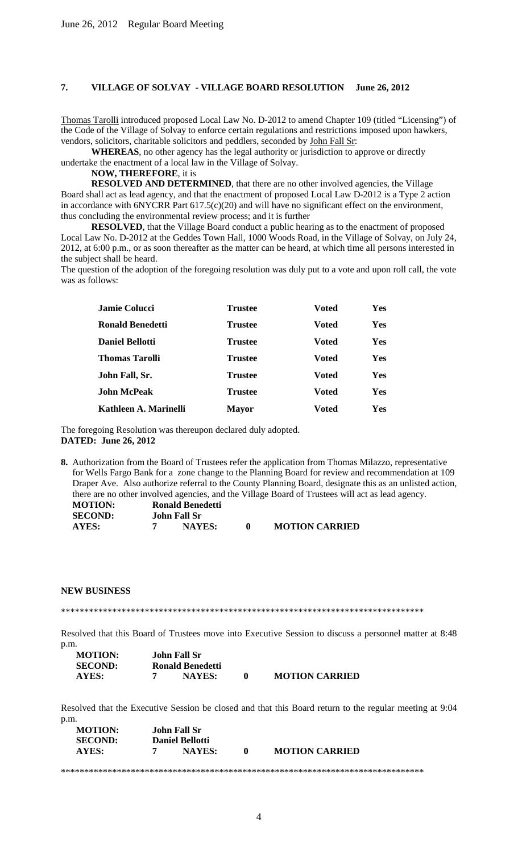#### **7. VILLAGE OF SOLVAY - VILLAGE BOARD RESOLUTION June 26, 2012**

Thomas Tarolli introduced proposed Local Law No. D-2012 to amend Chapter 109 (titled "Licensing") of the Code of the Village of Solvay to enforce certain regulations and restrictions imposed upon hawkers, vendors, solicitors, charitable solicitors and peddlers, seconded by John Fall Sr:

**WHEREAS**, no other agency has the legal authority or jurisdiction to approve or directly undertake the enactment of a local law in the Village of Solvay.

#### **NOW, THEREFORE**, it is

**RESOLVED AND DETERMINED**, that there are no other involved agencies, the Village Board shall act as lead agency, and that the enactment of proposed Local Law D-2012 is a Type 2 action in accordance with 6NYCRR Part 617.5(c)(20) and will have no significant effect on the environment, thus concluding the environmental review process; and it is further

**RESOLVED**, that the Village Board conduct a public hearing as to the enactment of proposed Local Law No. D-2012 at the Geddes Town Hall, 1000 Woods Road, in the Village of Solvay, on July 24, 2012, at 6:00 p.m., or as soon thereafter as the matter can be heard, at which time all persons interested in the subject shall be heard.

The question of the adoption of the foregoing resolution was duly put to a vote and upon roll call, the vote was as follows:

| Jamie Colucci          | <b>Trustee</b> | Voted        | Yes |
|------------------------|----------------|--------------|-----|
| Ronald Benedetti       | <b>Trustee</b> | Voted        | Yes |
| <b>Daniel Bellotti</b> | <b>Trustee</b> | <b>Voted</b> | Yes |
| <b>Thomas Tarolli</b>  | <b>Trustee</b> | <b>Voted</b> | Yes |
| John Fall, Sr.         | <b>Trustee</b> | Voted        | Yes |
| <b>John McPeak</b>     | <b>Trustee</b> | <b>Voted</b> | Yes |
| Kathleen A. Marinelli  | <b>Mayor</b>   | Voted        | Yes |

The foregoing Resolution was thereupon declared duly adopted. **DATED: June 26, 2012**

**8.** Authorization from the Board of Trustees refer the application from Thomas Milazzo, representative for Wells Fargo Bank for a zone change to the Planning Board for review and recommendation at 109 Draper Ave. Also authorize referral to the County Planning Board, designate this as an unlisted action, there are no other involved agencies, and the Village Board of Trustees will act as lead agency.

| <b>MOTION:</b> | Ronald Benedetti |                       |
|----------------|------------------|-----------------------|
| <b>SECOND:</b> | John Fall Sr     |                       |
| AYES:          | <b>NAYES:</b>    | <b>MOTION CARRIED</b> |

#### **NEW BUSINESS**

\*\*\*\*\*\*\*\*\*\*\*\*\*\*\*\*\*\*\*\*\*\*\*\*\*\*\*\*\*\*\*\*\*\*\*\*\*\*\*\*\*\*\*\*\*\*\*\*\*\*\*\*\*\*\*\*\*\*\*\*\*\*\*\*\*\*\*\*\*\*\*\*\*\*\*\*\*\*

Resolved that this Board of Trustees move into Executive Session to discuss a personnel matter at 8:48 p.m.

| <b>MOTION:</b> | <b>John Fall Sr</b> |                       |
|----------------|---------------------|-----------------------|
| <b>SECOND:</b> | Ronald Benedetti    |                       |
| AYES:          | <b>NAYES:</b>       | <b>MOTION CARRIED</b> |

Resolved that the Executive Session be closed and that this Board return to the regular meeting at 9:04 p.m. **MOTION: John Fall Sr**

| MUTRON:<br><b>SECOND:</b> | John Fall Sr<br><b>Daniel Bellotti</b> |              |                       |
|---------------------------|----------------------------------------|--------------|-----------------------|
| AYES:                     | NAYES:                                 | $\mathbf{a}$ | <b>MOTION CARRIED</b> |
|                           |                                        |              |                       |